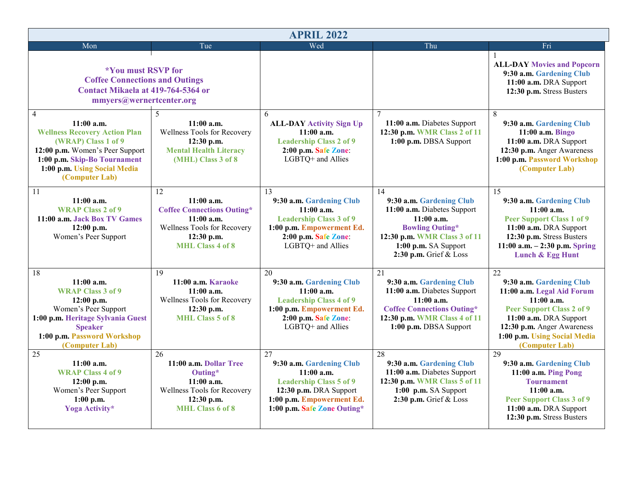| <b>APRIL 2022</b>                                                                                                                                                                                                                                                                                                         |                                                                                                                                                                                                                                                                  |                                                                                                                                                                                                                                                                                                                                      |                                                                                                                                                                                                                                                                                                                                 |                                                                                                                                                                                                                                                                                                                                                                                                                                   |  |  |
|---------------------------------------------------------------------------------------------------------------------------------------------------------------------------------------------------------------------------------------------------------------------------------------------------------------------------|------------------------------------------------------------------------------------------------------------------------------------------------------------------------------------------------------------------------------------------------------------------|--------------------------------------------------------------------------------------------------------------------------------------------------------------------------------------------------------------------------------------------------------------------------------------------------------------------------------------|---------------------------------------------------------------------------------------------------------------------------------------------------------------------------------------------------------------------------------------------------------------------------------------------------------------------------------|-----------------------------------------------------------------------------------------------------------------------------------------------------------------------------------------------------------------------------------------------------------------------------------------------------------------------------------------------------------------------------------------------------------------------------------|--|--|
| Mon                                                                                                                                                                                                                                                                                                                       | Tue                                                                                                                                                                                                                                                              | Wed                                                                                                                                                                                                                                                                                                                                  | Thu                                                                                                                                                                                                                                                                                                                             | Fri                                                                                                                                                                                                                                                                                                                                                                                                                               |  |  |
| <i><b>*You must RSVP for</b></i><br><b>Coffee Connections and Outings</b><br>Contact Mikaela at 419-764-5364 or<br>mmyers@wernertcenter.org                                                                                                                                                                               |                                                                                                                                                                                                                                                                  |                                                                                                                                                                                                                                                                                                                                      |                                                                                                                                                                                                                                                                                                                                 | <b>ALL-DAY Movies and Popcorn</b><br>9:30 a.m. Gardening Club<br>11:00 a.m. DRA Support<br>12:30 p.m. Stress Busters                                                                                                                                                                                                                                                                                                              |  |  |
| $\overline{4}$<br>$11:00$ a.m.<br><b>Wellness Recovery Action Plan</b><br>(WRAP) Class 1 of 9<br>12:00 p.m. Women's Peer Support<br>1:00 p.m. Skip-Bo Tournament<br>1:00 p.m. Using Social Media<br>(Computer Lab)                                                                                                        | 5<br>$11:00$ a.m.<br>Wellness Tools for Recovery<br>12:30 p.m.<br><b>Mental Health Literacy</b><br>(MHL) Class 3 of 8                                                                                                                                            | 6<br><b>ALL-DAY Activity Sign Up</b><br>$11:00$ a.m.<br><b>Leadership Class 2 of 9</b><br>2:00 p.m. Safe Zone:<br>LGBTQ+ and Allies                                                                                                                                                                                                  | 7<br>11:00 a.m. Diabetes Support<br>12:30 p.m. WMR Class 2 of 11<br>1:00 p.m. DBSA Support                                                                                                                                                                                                                                      | 8<br>9:30 a.m. Gardening Club<br>11:00 a.m. Bingo<br>11:00 a.m. DRA Support<br>12:30 p.m. Anger Awareness<br>1:00 p.m. Password Workshop<br>(Computer Lab)                                                                                                                                                                                                                                                                        |  |  |
| 11<br>$11:00$ a.m.<br><b>WRAP Class 2 of 9</b><br>11:00 a.m. Jack Box TV Games<br>$12:00$ p.m.<br>Women's Peer Support                                                                                                                                                                                                    | 12<br>$11:00$ a.m.<br><b>Coffee Connections Outing*</b><br>11:00a.m.<br>Wellness Tools for Recovery<br>12:30 p.m.<br><b>MHL Class 4 of 8</b>                                                                                                                     | 13<br>9:30 a.m. Gardening Club<br>$11:00$ a.m.<br><b>Leadership Class 3 of 9</b><br>1:00 p.m. Empowerment Ed.<br>2:00 p.m. Safe Zone:<br>LGBTQ+ and Allies                                                                                                                                                                           | 14<br>9:30 a.m. Gardening Club<br>11:00 a.m. Diabetes Support<br>$11:00$ a.m.<br><b>Bowling Outing*</b><br>12:30 p.m. WMR Class 3 of 11<br>1:00 p.m. SA Support<br>2:30 p.m. Grief & Loss                                                                                                                                       | 15<br>9:30 a.m. Gardening Club<br>$11:00$ a.m.<br><b>Peer Support Class 1 of 9</b><br>11:00 a.m. DRA Support<br>12:30 p.m. Stress Busters<br>11:00 a.m. $-2:30$ p.m. Spring<br>Lunch & Egg Hunt                                                                                                                                                                                                                                   |  |  |
| 18<br>$11:00$ a.m.<br><b>WRAP Class 3 of 9</b><br>$12:00$ p.m.<br>Women's Peer Support<br>1:00 p.m. Heritage Sylvania Guest<br><b>Speaker</b><br>1:00 p.m. Password Workshop<br>(Computer Lab)<br>25<br>$11:00$ a.m.<br><b>WRAP Class 4 of 9</b><br>$12:00$ p.m.<br>Women's Peer Support<br>$1:00$ p.m.<br>Yoga Activity* | 19<br>11:00 a.m. Karaoke<br>$11:00$ a.m.<br>Wellness Tools for Recovery<br>12:30 p.m.<br><b>MHL</b> Class 5 of 8<br>$\overline{26}$<br>11:00 a.m. Dollar Tree<br>Outing*<br>$11:00$ a.m.<br>Wellness Tools for Recovery<br>12:30 p.m.<br><b>MHL</b> Class 6 of 8 | 20<br>9:30 a.m. Gardening Club<br>$11:00$ a.m.<br><b>Leadership Class 4 of 9</b><br>1:00 p.m. Empowerment Ed.<br>2:00 p.m. Safe Zone:<br>LGBTQ+ and Allies<br>27<br>9:30 a.m. Gardening Club<br>$11:00$ a.m.<br><b>Leadership Class 5 of 9</b><br>12:30 p.m. DRA Support<br>1:00 p.m. Empowerment Ed.<br>1:00 p.m. Safe Zone Outing* | 21<br>9:30 a.m. Gardening Club<br>11:00 a.m. Diabetes Support<br>$11:00$ a.m.<br><b>Coffee Connections Outing*</b><br>12:30 p.m. WMR Class 4 of 11<br>1:00 p.m. DBSA Support<br>28<br>9:30 a.m. Gardening Club<br>11:00 a.m. Diabetes Support<br>12:30 p.m. WMR Class 5 of 11<br>1:00 p.m. SA Support<br>2:30 p.m. Grief & Loss | $\overline{22}$<br>9:30 a.m. Gardening Club<br>11:00 a.m. Legal Aid Forum<br>$11:00$ a.m.<br><b>Peer Support Class 2 of 9</b><br>11:00 a.m. DRA Support<br>12:30 p.m. Anger Awareness<br>1:00 p.m. Using Social Media<br>(Computer Lab)<br>29<br>9:30 a.m. Gardening Club<br>11:00 a.m. Ping Pong<br><b>Tournament</b><br>$11:00$ a.m.<br><b>Peer Support Class 3 of 9</b><br>11:00 a.m. DRA Support<br>12:30 p.m. Stress Busters |  |  |